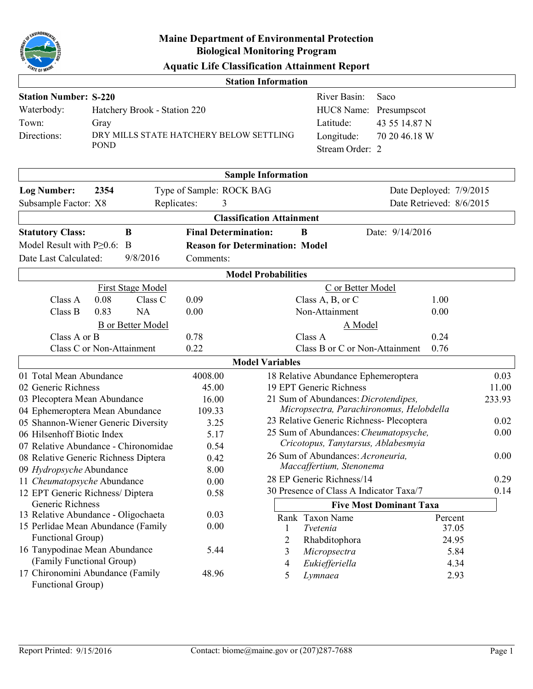

|  | <b>Aquatic Life Classification Attainment Report</b> |  |  |
|--|------------------------------------------------------|--|--|
|--|------------------------------------------------------|--|--|

|                                                      |                                         |                             | <b>Station Information</b>             |                                                               |                                          |                  |
|------------------------------------------------------|-----------------------------------------|-----------------------------|----------------------------------------|---------------------------------------------------------------|------------------------------------------|------------------|
| <b>Station Number: S-220</b>                         |                                         |                             |                                        | River Basin:                                                  | Saco                                     |                  |
| Waterbody:                                           | Hatchery Brook - Station 220            |                             |                                        | HUC8 Name:                                                    | Presumpscot                              |                  |
| Town:                                                | Gray                                    |                             |                                        | Latitude:                                                     | 43 55 14.87 N                            |                  |
| Directions:                                          | DRY MILLS STATE HATCHERY BELOW SETTLING |                             |                                        | Longitude:                                                    | 70 20 46.18 W                            |                  |
|                                                      | <b>POND</b>                             |                             |                                        | Stream Order: 2                                               |                                          |                  |
|                                                      |                                         |                             |                                        |                                                               |                                          |                  |
|                                                      |                                         |                             | <b>Sample Information</b>              |                                                               |                                          |                  |
| <b>Log Number:</b>                                   | 2354                                    | Type of Sample: ROCK BAG    |                                        |                                                               | Date Deployed: 7/9/2015                  |                  |
| Subsample Factor: X8                                 | Replicates:                             | 3                           |                                        |                                                               | Date Retrieved: 8/6/2015                 |                  |
|                                                      |                                         |                             | <b>Classification Attainment</b>       |                                                               |                                          |                  |
| <b>Statutory Class:</b>                              | $\bf{B}$                                | <b>Final Determination:</b> | B                                      |                                                               | Date: 9/14/2016                          |                  |
| Model Result with $P>0.6$ :                          | B                                       |                             | <b>Reason for Determination: Model</b> |                                                               |                                          |                  |
| Date Last Calculated:                                | 9/8/2016                                | Comments:                   |                                        |                                                               |                                          |                  |
|                                                      |                                         |                             | <b>Model Probabilities</b>             |                                                               |                                          |                  |
|                                                      | First Stage Model                       |                             |                                        | C or Better Model                                             |                                          |                  |
| Class A                                              | 0.08<br>Class C                         | 0.09                        |                                        | Class A, B, or C                                              | 1.00                                     |                  |
| Class B                                              | 0.83<br><b>NA</b>                       | 0.00                        |                                        | Non-Attainment                                                | 0.00                                     |                  |
|                                                      | <b>B</b> or Better Model                |                             |                                        | A Model                                                       |                                          |                  |
| Class A or B                                         |                                         | 0.78                        |                                        | Class A                                                       | 0.24                                     |                  |
|                                                      | Class C or Non-Attainment               | 0.22                        |                                        | Class B or C or Non-Attainment                                | 0.76                                     |                  |
|                                                      |                                         |                             | <b>Model Variables</b>                 |                                                               |                                          |                  |
| 01 Total Mean Abundance                              |                                         | 4008.00                     |                                        | 18 Relative Abundance Ephemeroptera                           |                                          | 0.03             |
| 02 Generic Richness                                  |                                         | 45.00                       |                                        | 19 EPT Generic Richness                                       |                                          | 11.00            |
| 03 Plecoptera Mean Abundance                         |                                         | 16.00                       |                                        | 21 Sum of Abundances: Dicrotendipes,                          |                                          | 233.93           |
|                                                      | 04 Ephemeroptera Mean Abundance         | 109.33                      |                                        |                                                               | Micropsectra, Parachironomus, Helobdella |                  |
|                                                      | 05 Shannon-Wiener Generic Diversity     | 3.25                        |                                        | 23 Relative Generic Richness- Plecoptera                      |                                          | 0.02             |
| 06 Hilsenhoff Biotic Index                           |                                         | 5.17                        |                                        | 25 Sum of Abundances: Cheumatopsyche,                         |                                          | 0.00             |
|                                                      | 07 Relative Abundance - Chironomidae    | 0.54                        |                                        | Cricotopus, Tanytarsus, Ablabesmyia                           |                                          |                  |
|                                                      | 08 Relative Generic Richness Diptera    | 0.42                        |                                        | 26 Sum of Abundances: Acroneuria,<br>Maccaffertium, Stenonema |                                          | 0.00             |
| 09 Hydropsyche Abundance                             |                                         | 8.00                        |                                        | 28 EP Generic Richness/14                                     |                                          | 0.29             |
| 11 Cheumatopsyche Abundance                          |                                         | 0.00                        |                                        | 30 Presence of Class A Indicator Taxa/7                       |                                          | 0.14             |
| 12 EPT Generic Richness/ Diptera<br>Generic Richness |                                         | 0.58                        |                                        |                                                               | <b>Five Most Dominant Taxa</b>           |                  |
|                                                      | 13 Relative Abundance - Oligochaeta     | 0.03                        |                                        |                                                               |                                          |                  |
|                                                      | 15 Perlidae Mean Abundance (Family      | 0.00                        | 1                                      | Rank Taxon Name<br>Tvetenia                                   |                                          | Percent<br>37.05 |
| Functional Group)                                    |                                         |                             | 2                                      | Rhabditophora                                                 |                                          | 24.95            |
| 16 Tanypodinae Mean Abundance                        |                                         | 5.44                        | 3                                      | Micropsectra                                                  |                                          | 5.84             |
| (Family Functional Group)                            |                                         |                             | $\overline{4}$                         | Eukiefferiella                                                |                                          | 4.34             |
|                                                      | 17 Chironomini Abundance (Family        | 48.96                       | 5                                      | Lymnaea                                                       |                                          | 2.93             |
| Functional Group)                                    |                                         |                             |                                        |                                                               |                                          |                  |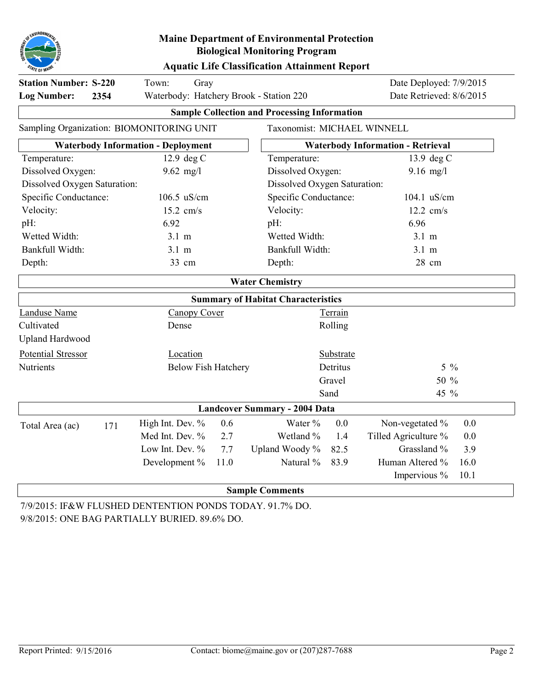

### **Aquatic Life Classification Attainment Report**

| <b>Station Number: S-220</b><br><b>Log Number:</b><br>2354                   | Town:<br>Gray<br>Waterbody: Hatchery Brook - Station 220 |      |                                                     |           |                                          | Date Deployed: 7/9/2015<br>Date Retrieved: 8/6/2015 |  |
|------------------------------------------------------------------------------|----------------------------------------------------------|------|-----------------------------------------------------|-----------|------------------------------------------|-----------------------------------------------------|--|
|                                                                              |                                                          |      | <b>Sample Collection and Processing Information</b> |           |                                          |                                                     |  |
| Sampling Organization: BIOMONITORING UNIT                                    |                                                          |      | Taxonomist: MICHAEL WINNELL                         |           |                                          |                                                     |  |
|                                                                              | <b>Waterbody Information - Deployment</b>                |      |                                                     |           | <b>Waterbody Information - Retrieval</b> |                                                     |  |
| Temperature:                                                                 | 12.9 deg C                                               |      | Temperature:                                        |           | 13.9 deg C                               |                                                     |  |
| Dissolved Oxygen:                                                            | $9.62$ mg/l                                              |      | Dissolved Oxygen:                                   |           | $9.16$ mg/l                              |                                                     |  |
| Dissolved Oxygen Saturation:                                                 |                                                          |      | Dissolved Oxygen Saturation:                        |           |                                          |                                                     |  |
| Specific Conductance:<br>106.5 uS/cm<br>Specific Conductance:<br>104.1 uS/cm |                                                          |      |                                                     |           |                                          |                                                     |  |
| Velocity:                                                                    | 15.2 cm/s                                                |      | Velocity:                                           |           | $12.2$ cm/s                              |                                                     |  |
| pH:                                                                          | 6.92                                                     |      | pH:                                                 |           | 6.96                                     |                                                     |  |
| Wetted Width:                                                                | $3.1 \text{ m}$                                          |      | Wetted Width:                                       |           | $3.1 \text{ m}$                          |                                                     |  |
| Bankfull Width:                                                              | $3.1 \text{ m}$                                          |      | Bankfull Width:                                     |           | $3.1 \text{ m}$                          |                                                     |  |
| Depth:                                                                       | 33 cm                                                    |      | Depth:                                              |           | 28 cm                                    |                                                     |  |
|                                                                              |                                                          |      | <b>Water Chemistry</b>                              |           |                                          |                                                     |  |
|                                                                              |                                                          |      | <b>Summary of Habitat Characteristics</b>           |           |                                          |                                                     |  |
| <b>Landuse Name</b>                                                          | <b>Canopy Cover</b>                                      |      |                                                     | Terrain   |                                          |                                                     |  |
| Cultivated                                                                   | Dense                                                    |      |                                                     | Rolling   |                                          |                                                     |  |
| <b>Upland Hardwood</b>                                                       |                                                          |      |                                                     |           |                                          |                                                     |  |
| Potential Stressor                                                           | Location                                                 |      |                                                     | Substrate |                                          |                                                     |  |
| <b>Nutrients</b>                                                             | <b>Below Fish Hatchery</b>                               |      |                                                     | Detritus  | $5\frac{0}{6}$                           |                                                     |  |
|                                                                              |                                                          |      |                                                     | Gravel    | 50 %                                     |                                                     |  |
|                                                                              |                                                          |      |                                                     | Sand      | 45 %                                     |                                                     |  |
|                                                                              |                                                          |      | <b>Landcover Summary - 2004 Data</b>                |           |                                          |                                                     |  |
| Total Area (ac)<br>171                                                       | High Int. Dev. %                                         | 0.6  | Water %                                             | 0.0       | Non-vegetated %                          | 0.0                                                 |  |
|                                                                              | Med Int. Dev. %                                          | 2.7  | Wetland %                                           | 1.4       | Tilled Agriculture %                     | 0.0                                                 |  |
|                                                                              | Low Int. Dev. %                                          | 7.7  | Upland Woody %                                      | 82.5      | Grassland %                              | 3.9                                                 |  |
|                                                                              | Development %                                            | 11.0 | Natural %                                           | 83.9      | Human Altered %                          | 16.0                                                |  |
|                                                                              |                                                          |      |                                                     |           | Impervious %                             | 10.1                                                |  |
|                                                                              |                                                          |      | <b>Sample Comments</b>                              |           |                                          |                                                     |  |

7/9/2015: IF&W FLUSHED DENTENTION PONDS TODAY. 91.7% DO. 9/8/2015: ONE BAG PARTIALLY BURIED. 89.6% DO.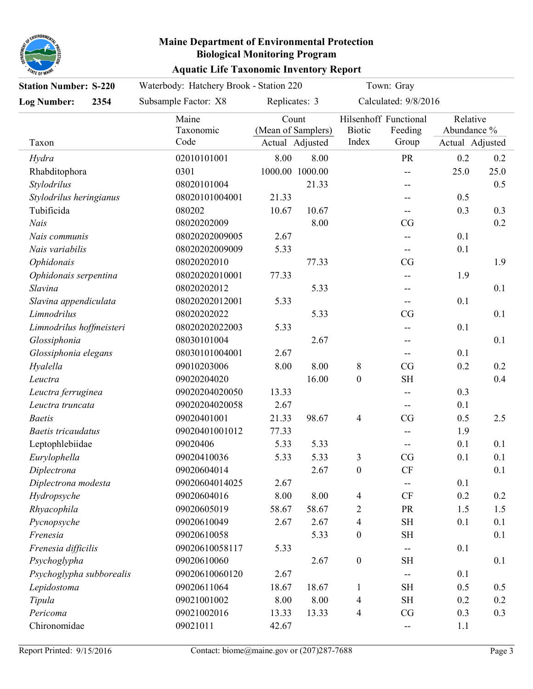

| <b>Aquatic Life Taxonomic Inventory Report</b> |  |  |  |
|------------------------------------------------|--|--|--|
|------------------------------------------------|--|--|--|

| <b>Station Number: S-220</b> |      | Waterbody: Hatchery Brook - Station 220 |                             |                 |                        | Town: Gray                                |                                            |      |
|------------------------------|------|-----------------------------------------|-----------------------------|-----------------|------------------------|-------------------------------------------|--------------------------------------------|------|
| <b>Log Number:</b>           | 2354 | Subsample Factor: X8                    | Replicates: 3               |                 |                        | Calculated: 9/8/2016                      |                                            |      |
| Taxon                        |      | Maine<br>Taxonomic<br>Code              | Count<br>(Mean of Samplers) | Actual Adjusted | <b>Biotic</b><br>Index | Hilsenhoff Functional<br>Feeding<br>Group | Relative<br>Abundance %<br>Actual Adjusted |      |
| Hydra                        |      | 02010101001                             | 8.00                        | 8.00            |                        | PR                                        | 0.2                                        | 0.2  |
| Rhabditophora                |      | 0301                                    | 1000.00 1000.00             |                 |                        | --                                        | 25.0                                       | 25.0 |
| Stylodrilus                  |      | 08020101004                             |                             | 21.33           |                        |                                           |                                            | 0.5  |
| Stylodrilus heringianus      |      | 08020101004001                          | 21.33                       |                 |                        |                                           | 0.5                                        |      |
| Tubificida                   |      | 080202                                  | 10.67                       | 10.67           |                        |                                           | 0.3                                        | 0.3  |
| <b>Nais</b>                  |      | 08020202009                             |                             | 8.00            |                        | CG                                        |                                            | 0.2  |
| Nais communis                |      | 08020202009005                          | 2.67                        |                 |                        |                                           | 0.1                                        |      |
| Nais variabilis              |      | 08020202009009                          | 5.33                        |                 |                        |                                           | 0.1                                        |      |
| Ophidonais                   |      | 08020202010                             |                             | 77.33           |                        | CG                                        |                                            | 1.9  |
| Ophidonais serpentina        |      | 08020202010001                          | 77.33                       |                 |                        |                                           | 1.9                                        |      |
| Slavina                      |      | 08020202012                             |                             | 5.33            |                        |                                           |                                            | 0.1  |
| Slavina appendiculata        |      | 08020202012001                          | 5.33                        |                 |                        |                                           | 0.1                                        |      |
| Limnodrilus                  |      | 08020202022                             |                             | 5.33            |                        | CG                                        |                                            | 0.1  |
| Limnodrilus hoffmeisteri     |      | 08020202022003                          | 5.33                        |                 |                        |                                           | 0.1                                        |      |
| Glossiphonia                 |      | 08030101004                             |                             | 2.67            |                        |                                           |                                            | 0.1  |
| Glossiphonia elegans         |      | 08030101004001                          | 2.67                        |                 |                        |                                           | 0.1                                        |      |
| Hyalella                     |      | 09010203006                             | 8.00                        | 8.00            | 8                      | CG                                        | 0.2                                        | 0.2  |
| Leuctra                      |      | 09020204020                             |                             | 16.00           | $\boldsymbol{0}$       | <b>SH</b>                                 |                                            | 0.4  |
| Leuctra ferruginea           |      | 09020204020050                          | 13.33                       |                 |                        |                                           | 0.3                                        |      |
| Leuctra truncata             |      | 09020204020058                          | 2.67                        |                 |                        | --                                        | 0.1                                        |      |
| <b>Baetis</b>                |      | 09020401001                             | 21.33                       | 98.67           | $\overline{4}$         | CG                                        | 0.5                                        | 2.5  |
| <b>Baetis tricaudatus</b>    |      | 09020401001012                          | 77.33                       |                 |                        |                                           | 1.9                                        |      |
| Leptophlebiidae              |      | 09020406                                | 5.33                        | 5.33            |                        | --                                        | 0.1                                        | 0.1  |
| Eurylophella                 |      | 09020410036                             | 5.33                        | 5.33            | 3                      | CG                                        | 0.1                                        | 0.1  |
| Diplectrona                  |      | 09020604014                             |                             | 2.67            | $\boldsymbol{0}$       | <b>CF</b>                                 |                                            | 0.1  |
| Diplectrona modesta          |      | 09020604014025                          | 2.67                        |                 |                        | --                                        | 0.1                                        |      |
| Hydropsyche                  |      | 09020604016                             | 8.00                        | 8.00            | 4                      | <b>CF</b>                                 | 0.2                                        | 0.2  |
| Rhyacophila                  |      | 09020605019                             | 58.67                       | 58.67           | 2                      | <b>PR</b>                                 | 1.5                                        | 1.5  |
| Pycnopsyche                  |      | 09020610049                             | 2.67                        | 2.67            | 4                      | <b>SH</b>                                 | 0.1                                        | 0.1  |
| Frenesia                     |      | 09020610058                             |                             | 5.33            | $\boldsymbol{0}$       | <b>SH</b>                                 |                                            | 0.1  |
| Frenesia difficilis          |      | 09020610058117                          | 5.33                        |                 |                        |                                           | 0.1                                        |      |
| Psychoglypha                 |      | 09020610060                             |                             | 2.67            | $\boldsymbol{0}$       | <b>SH</b>                                 |                                            | 0.1  |
| Psychoglypha subborealis     |      | 09020610060120                          | 2.67                        |                 |                        |                                           | 0.1                                        |      |
| Lepidostoma                  |      | 09020611064                             | 18.67                       | 18.67           | $\mathbf{1}$           | <b>SH</b>                                 | 0.5                                        | 0.5  |
| Tipula                       |      | 09021001002                             | 8.00                        | 8.00            | 4                      | <b>SH</b>                                 | 0.2                                        | 0.2  |
| Pericoma                     |      | 09021002016                             | 13.33                       | 13.33           | 4                      | CG                                        | 0.3                                        | 0.3  |
| Chironomidae                 |      | 09021011                                | 42.67                       |                 |                        |                                           | 1.1                                        |      |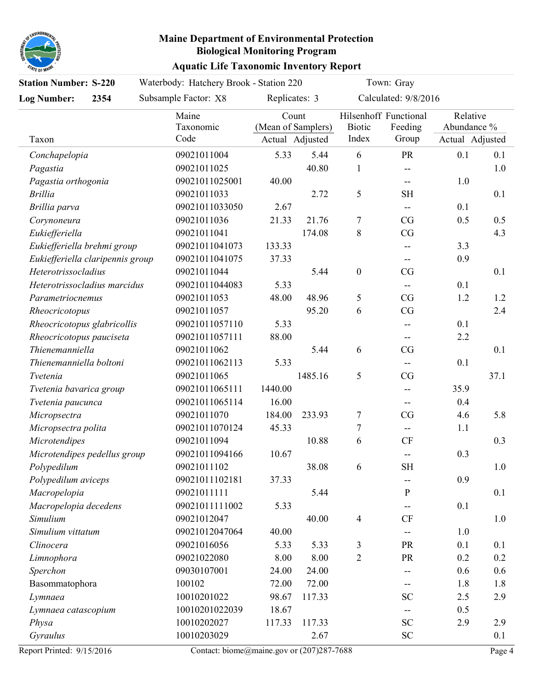

| <b>Station Number: S-220</b>     | Waterbody: Hatchery Brook - Station 220 |                             |                 |                         | Town: Gray                                |                                            |      |
|----------------------------------|-----------------------------------------|-----------------------------|-----------------|-------------------------|-------------------------------------------|--------------------------------------------|------|
| <b>Log Number:</b><br>2354       | Subsample Factor: X8                    | Replicates: 3               |                 |                         | Calculated: 9/8/2016                      |                                            |      |
| Taxon                            | Maine<br>Taxonomic<br>Code              | Count<br>(Mean of Samplers) | Actual Adjusted | Biotic<br>Index         | Hilsenhoff Functional<br>Feeding<br>Group | Relative<br>Abundance %<br>Actual Adjusted |      |
| Conchapelopia                    | 09021011004                             | 5.33                        | 5.44            | 6                       | <b>PR</b>                                 | 0.1                                        | 0.1  |
| Pagastia                         | 09021011025                             |                             | 40.80           | $\mathbf{1}$            | $\overline{\phantom{a}}$                  |                                            | 1.0  |
| Pagastia orthogonia              | 09021011025001                          | 40.00                       |                 |                         | $\overline{\phantom{a}}$                  | 1.0                                        |      |
| <b>Brillia</b>                   | 09021011033                             |                             | 2.72            | 5                       | <b>SH</b>                                 |                                            | 0.1  |
| Brillia parva                    | 09021011033050                          | 2.67                        |                 |                         |                                           | 0.1                                        |      |
| Corynoneura                      | 09021011036                             | 21.33                       | 21.76           | $\boldsymbol{7}$        | CG                                        | 0.5                                        | 0.5  |
| Eukiefferiella                   | 09021011041                             |                             | 174.08          | $8\,$                   | CG                                        |                                            | 4.3  |
| Eukiefferiella brehmi group      | 09021011041073                          | 133.33                      |                 |                         |                                           | 3.3                                        |      |
| Eukiefferiella claripennis group | 09021011041075                          | 37.33                       |                 |                         |                                           | 0.9                                        |      |
| Heterotrissocladius              | 09021011044                             |                             | 5.44            | $\boldsymbol{0}$        | CG                                        |                                            | 0.1  |
| Heterotrissocladius marcidus     | 09021011044083                          | 5.33                        |                 |                         |                                           | 0.1                                        |      |
| Parametriocnemus                 | 09021011053                             | 48.00                       | 48.96           | 5                       | CG                                        | 1.2                                        | 1.2  |
| Rheocricotopus                   | 09021011057                             |                             | 95.20           | 6                       | CG                                        |                                            | 2.4  |
| Rheocricotopus glabricollis      | 09021011057110                          | 5.33                        |                 |                         |                                           | 0.1                                        |      |
| Rheocricotopus pauciseta         | 09021011057111                          | 88.00                       |                 |                         | $\overline{\phantom{a}}$                  | 2.2                                        |      |
| Thienemanniella                  | 09021011062                             |                             | 5.44            | 6                       | CG                                        |                                            | 0.1  |
| Thienemanniella boltoni          | 09021011062113                          | 5.33                        |                 |                         |                                           | 0.1                                        |      |
| Tvetenia                         | 09021011065                             |                             | 1485.16         | 5                       | CG                                        |                                            | 37.1 |
| Tvetenia bavarica group          | 09021011065111                          | 1440.00                     |                 |                         |                                           | 35.9                                       |      |
| Tvetenia paucunca                | 09021011065114                          | 16.00                       |                 |                         | $\overline{\phantom{a}}$                  | 0.4                                        |      |
| Micropsectra                     | 09021011070                             | 184.00                      | 233.93          | 7                       | CG                                        | 4.6                                        | 5.8  |
| Micropsectra polita              | 09021011070124                          | 45.33                       |                 | 7                       | $\overline{\phantom{a}}$                  | 1.1                                        |      |
| Microtendipes                    | 09021011094                             |                             | 10.88           | 6                       | <b>CF</b>                                 |                                            | 0.3  |
| Microtendipes pedellus group     | 09021011094166                          | 10.67                       |                 |                         | $ \!-$                                    | 0.3                                        |      |
| Polypedilum                      | 09021011102                             |                             | 38.08           | 6                       | <b>SH</b>                                 |                                            | 1.0  |
| Polypedilum aviceps              | 09021011102181                          | 37.33                       |                 |                         |                                           | 0.9                                        |      |
| Macropelopia                     | 09021011111                             |                             | 5.44            |                         | ${\bf P}$                                 |                                            | 0.1  |
| Macropelopia decedens            | 09021011111002                          | 5.33                        |                 |                         |                                           | 0.1                                        |      |
| Simulium                         | 09021012047                             |                             | 40.00           | $\overline{\mathbf{4}}$ | $\mathrm{CF}$                             |                                            | 1.0  |
| Simulium vittatum                | 09021012047064                          | 40.00                       |                 |                         |                                           | 1.0                                        |      |
| Clinocera                        | 09021016056                             | 5.33                        | 5.33            | 3                       | <b>PR</b>                                 | 0.1                                        | 0.1  |
| Limnophora                       | 09021022080                             | 8.00                        | 8.00            | $\overline{2}$          | <b>PR</b>                                 | 0.2                                        | 0.2  |
| Sperchon                         | 09030107001                             | 24.00                       | 24.00           |                         |                                           | 0.6                                        | 0.6  |
| Basommatophora                   | 100102                                  | 72.00                       | 72.00           |                         | --                                        | 1.8                                        | 1.8  |
| Lymnaea                          | 10010201022                             | 98.67                       | 117.33          |                         | <b>SC</b>                                 | 2.5                                        | 2.9  |
| Lymnaea catascopium              | 10010201022039                          | 18.67                       |                 |                         |                                           | 0.5                                        |      |
| Physa                            | 10010202027                             | 117.33                      | 117.33          |                         | ${\rm SC}$                                | 2.9                                        | 2.9  |
| Gyraulus                         | 10010203029                             |                             | 2.67            |                         | <b>SC</b>                                 |                                            | 0.1  |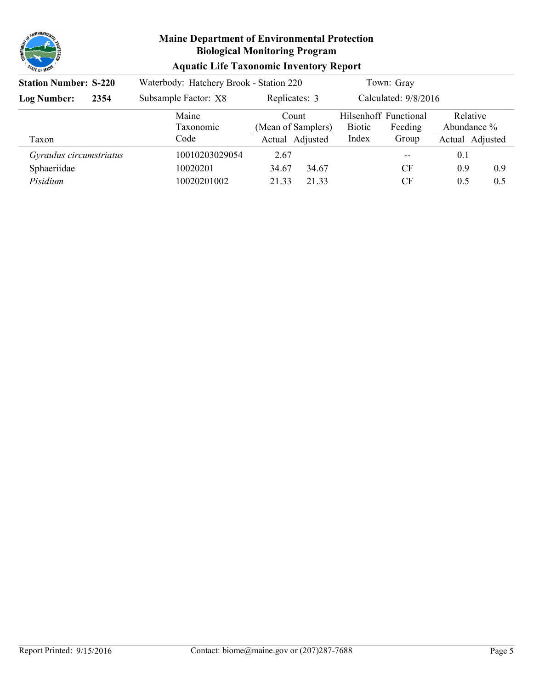

| <b>Aquatic Life Taxonomic Inventory Report</b> |  |  |  |
|------------------------------------------------|--|--|--|
|------------------------------------------------|--|--|--|

| <b>Station Number: S-220</b> |  | Waterbody: Hatchery Brook - Station 220 |                                                | Town: Gray                                                          |                                            |
|------------------------------|--|-----------------------------------------|------------------------------------------------|---------------------------------------------------------------------|--------------------------------------------|
| <b>Log Number:</b><br>2354   |  | Subsample Factor: X8                    | Replicates: 3                                  | Calculated: 9/8/2016                                                |                                            |
| Taxon                        |  | Maine<br>Taxonomic<br>Code              | Count<br>(Mean of Samplers)<br>Actual Adjusted | Hilsenhoff Functional<br><b>Biotic</b><br>Feeding<br>Index<br>Group | Relative<br>Abundance %<br>Actual Adjusted |
| Gyraulus circumstriatus      |  | 10010203029054                          | 2.67                                           | --                                                                  | 0.1                                        |
| Sphaeriidae                  |  | 10020201                                | 34.67<br>34.67                                 | <b>CF</b>                                                           | 0.9<br>0.9                                 |
| Pisidium                     |  | 10020201002                             | 21 33<br>21.33                                 | <b>CF</b>                                                           | 0.5<br>0.5                                 |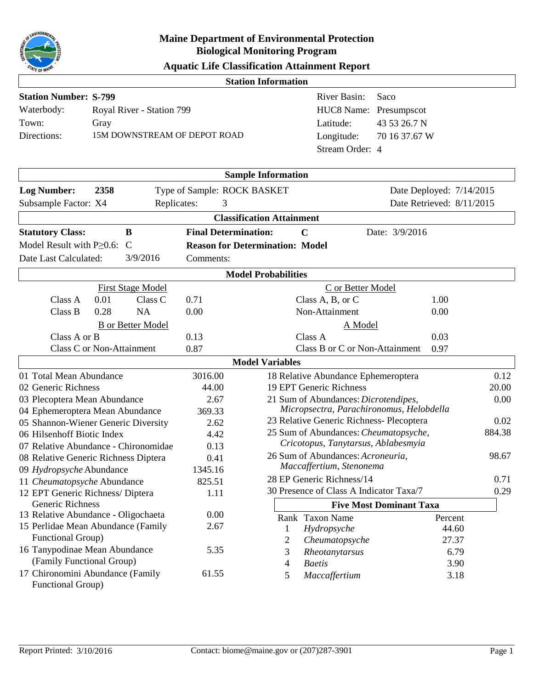

|  | <b>Aquatic Life Classification Attainment Report</b> |  |  |
|--|------------------------------------------------------|--|--|
|--|------------------------------------------------------|--|--|

|                                                         |                           |                           |                                        | <b>Station Information</b>       |                                                                              |                                |                           |
|---------------------------------------------------------|---------------------------|---------------------------|----------------------------------------|----------------------------------|------------------------------------------------------------------------------|--------------------------------|---------------------------|
| <b>Station Number: S-799</b>                            |                           |                           |                                        |                                  | <b>River Basin:</b>                                                          | Saco                           |                           |
| Waterbody:                                              |                           | Royal River - Station 799 |                                        |                                  | HUC8 Name: Presumpscot                                                       |                                |                           |
| Town:                                                   | Gray                      |                           |                                        |                                  | Latitude:                                                                    | 43 53 26.7 N                   |                           |
| Directions:                                             |                           |                           | 15M DOWNSTREAM OF DEPOT ROAD           |                                  | Longitude:                                                                   | 70 16 37.67 W                  |                           |
|                                                         |                           |                           |                                        |                                  | Stream Order: 4                                                              |                                |                           |
|                                                         |                           |                           |                                        |                                  |                                                                              |                                |                           |
|                                                         |                           |                           |                                        | <b>Sample Information</b>        |                                                                              |                                |                           |
| <b>Log Number:</b>                                      | 2358                      |                           | Type of Sample: ROCK BASKET            |                                  |                                                                              |                                | Date Deployed: 7/14/2015  |
| Subsample Factor: X4                                    |                           | Replicates:               | 3                                      |                                  |                                                                              |                                | Date Retrieved: 8/11/2015 |
|                                                         |                           |                           |                                        | <b>Classification Attainment</b> |                                                                              |                                |                           |
| <b>Statutory Class:</b>                                 |                           | B                         | <b>Final Determination:</b>            |                                  | $\mathbf C$                                                                  | Date: 3/9/2016                 |                           |
| Model Result with $P \geq 0.6$ :                        |                           | C                         | <b>Reason for Determination: Model</b> |                                  |                                                                              |                                |                           |
| Date Last Calculated:                                   |                           | 3/9/2016                  | Comments:                              |                                  |                                                                              |                                |                           |
|                                                         |                           |                           |                                        |                                  |                                                                              |                                |                           |
|                                                         |                           |                           |                                        | <b>Model Probabilities</b>       |                                                                              |                                |                           |
|                                                         |                           | <b>First Stage Model</b>  |                                        |                                  | C or Better Model                                                            |                                |                           |
| Class A                                                 | 0.01                      | Class C                   | 0.71                                   |                                  | Class A, B, or C                                                             | 1.00                           |                           |
| Class B                                                 | 0.28                      | <b>NA</b>                 | 0.00                                   |                                  | Non-Attainment                                                               | 0.00                           |                           |
|                                                         |                           | <b>B</b> or Better Model  |                                        |                                  | A Model                                                                      |                                |                           |
| Class A or B                                            |                           |                           | 0.13                                   |                                  | Class A                                                                      | 0.03                           |                           |
|                                                         | Class C or Non-Attainment |                           | 0.87                                   |                                  | Class B or C or Non-Attainment                                               | 0.97                           |                           |
|                                                         |                           |                           |                                        | <b>Model Variables</b>           |                                                                              |                                |                           |
| 01 Total Mean Abundance                                 |                           |                           | 3016.00                                |                                  | 18 Relative Abundance Ephemeroptera                                          |                                | 0.12                      |
| 02 Generic Richness                                     |                           |                           | 44.00                                  |                                  | 19 EPT Generic Richness                                                      |                                | 20.00                     |
| 03 Plecoptera Mean Abundance                            |                           |                           | 2.67                                   |                                  | 21 Sum of Abundances: Dicrotendipes,                                         |                                | 0.00                      |
| 04 Ephemeroptera Mean Abundance                         |                           |                           | 369.33                                 |                                  | Micropsectra, Parachironomus, Helobdella                                     |                                |                           |
| 05 Shannon-Wiener Generic Diversity                     |                           |                           | 2.62                                   |                                  | 23 Relative Generic Richness- Plecoptera                                     |                                | 0.02<br>884.38            |
| 06 Hilsenhoff Biotic Index                              |                           |                           | 4.42                                   |                                  | 25 Sum of Abundances: Cheumatopsyche,<br>Cricotopus, Tanytarsus, Ablabesmyia |                                |                           |
| 07 Relative Abundance - Chironomidae                    |                           |                           | 0.13                                   |                                  | 26 Sum of Abundances: Acroneuria,                                            |                                | 98.67                     |
| 08 Relative Generic Richness Diptera                    |                           |                           | 0.41                                   |                                  | Maccaffertium, Stenonema                                                     |                                |                           |
| 09 Hydropsyche Abundance<br>11 Cheumatopsyche Abundance |                           |                           | 1345.16<br>825.51                      |                                  | 28 EP Generic Richness/14                                                    |                                | 0.71                      |
| 12 EPT Generic Richness/ Diptera                        |                           |                           | 1.11                                   |                                  | 30 Presence of Class A Indicator Taxa/7                                      |                                | 0.29                      |
| Generic Richness                                        |                           |                           |                                        |                                  |                                                                              | <b>Five Most Dominant Taxa</b> |                           |
| 13 Relative Abundance - Oligochaeta                     |                           |                           | 0.00                                   |                                  | Rank Taxon Name                                                              |                                | Percent                   |
| 15 Perlidae Mean Abundance (Family                      |                           |                           | 2.67                                   | 1                                | Hydropsyche                                                                  |                                | 44.60                     |
| Functional Group)                                       |                           |                           |                                        | 2                                | Cheumatopsyche                                                               |                                | 27.37                     |
| 16 Tanypodinae Mean Abundance                           |                           |                           | 5.35                                   | 3                                | Rheotanytarsus                                                               |                                | 6.79                      |
| (Family Functional Group)                               |                           |                           |                                        | 4                                | <b>Baetis</b>                                                                |                                | 3.90                      |
| 17 Chironomini Abundance (Family<br>Functional Group)   |                           |                           | 61.55                                  | 5                                | Maccaffertium                                                                |                                | 3.18                      |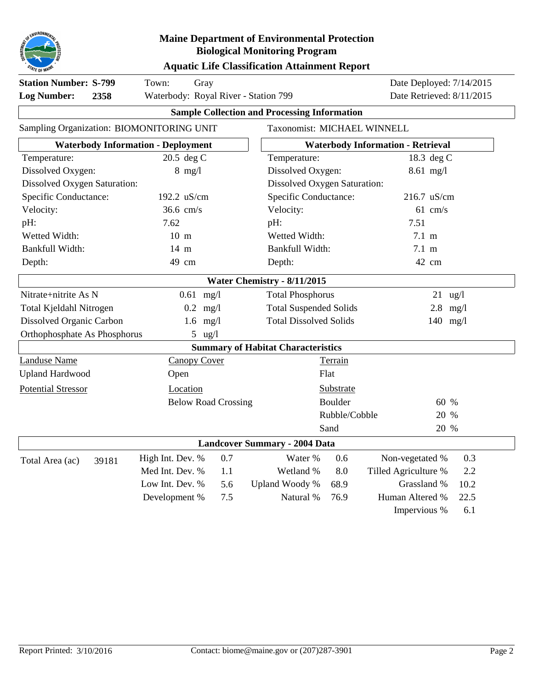

#### **Aquatic Life Classification Attainment Report**

| <b>Station Number: S-799</b><br><b>Log Number:</b><br>2358 | Town:<br>Gray<br>Waterbody: Royal River - Station 799 |                                           | Date Deployed: 7/14/2015<br>Date Retrieved: 8/11/2015 |                                          |                   |  |
|------------------------------------------------------------|-------------------------------------------------------|-------------------------------------------|-------------------------------------------------------|------------------------------------------|-------------------|--|
|                                                            | <b>Sample Collection and Processing Information</b>   |                                           |                                                       |                                          |                   |  |
| Sampling Organization: BIOMONITORING UNIT                  |                                                       | Taxonomist: MICHAEL WINNELL               |                                                       |                                          |                   |  |
|                                                            | <b>Waterbody Information - Deployment</b>             |                                           |                                                       | <b>Waterbody Information - Retrieval</b> |                   |  |
| Temperature:                                               | 20.5 deg C                                            | Temperature:                              |                                                       | 18.3 deg C                               |                   |  |
| Dissolved Oxygen:                                          | $8$ mg/l                                              | Dissolved Oxygen:                         |                                                       | 8.61 mg/l                                |                   |  |
| <b>Dissolved Oxygen Saturation:</b>                        |                                                       | <b>Dissolved Oxygen Saturation:</b>       |                                                       |                                          |                   |  |
| Specific Conductance:                                      | 192.2 uS/cm                                           | Specific Conductance:                     |                                                       | 216.7 uS/cm                              |                   |  |
| Velocity:                                                  | $36.6$ cm/s                                           | Velocity:                                 |                                                       | $61$ cm/s                                |                   |  |
| pH:                                                        | 7.62                                                  | pH:                                       |                                                       | 7.51                                     |                   |  |
| Wetted Width:                                              | $10 \text{ m}$                                        | Wetted Width:                             |                                                       | 7.1~m                                    |                   |  |
| Bankfull Width:                                            | 14 m                                                  | Bankfull Width:                           |                                                       | 7.1~m                                    |                   |  |
| Depth:                                                     | 49 cm                                                 | Depth:                                    |                                                       | 42 cm                                    |                   |  |
|                                                            |                                                       | Water Chemistry - 8/11/2015               |                                                       |                                          |                   |  |
| Nitrate+nitrite As N                                       | $0.61$ mg/l                                           | <b>Total Phosphorus</b>                   |                                                       |                                          | $21 \text{ ug}/l$ |  |
| Total Kjeldahl Nitrogen                                    | $0.2$ mg/l                                            | <b>Total Suspended Solids</b>             |                                                       |                                          | $2.8$ mg/l        |  |
| Dissolved Organic Carbon                                   | $1.6$ mg/l                                            | <b>Total Dissolved Solids</b>             |                                                       |                                          | 140 $mg/l$        |  |
| Orthophosphate As Phosphorus                               | 5 $\frac{u}{2}$                                       |                                           |                                                       |                                          |                   |  |
|                                                            |                                                       | <b>Summary of Habitat Characteristics</b> |                                                       |                                          |                   |  |
| <b>Landuse Name</b>                                        | <b>Canopy Cover</b>                                   |                                           | Terrain                                               |                                          |                   |  |
| <b>Upland Hardwood</b>                                     | Open                                                  |                                           | Flat                                                  |                                          |                   |  |
| <b>Potential Stressor</b>                                  | Location                                              |                                           | Substrate                                             |                                          |                   |  |
|                                                            | <b>Below Road Crossing</b>                            |                                           | <b>Boulder</b>                                        |                                          | 60 %              |  |
|                                                            |                                                       |                                           | Rubble/Cobble                                         |                                          | 20 %              |  |
|                                                            |                                                       |                                           | Sand                                                  |                                          | 20 %              |  |
|                                                            |                                                       | <b>Landcover Summary - 2004 Data</b>      |                                                       |                                          |                   |  |
| Total Area (ac)<br>39181                                   | High Int. Dev. %<br>0.7                               | Water %                                   | 0.6                                                   | Non-vegetated %                          | 0.3               |  |
|                                                            | Med Int. Dev. %<br>1.1                                | Wetland %                                 | 8.0                                                   | Tilled Agriculture %                     | 2.2               |  |
|                                                            | Low Int. Dev. %<br>5.6                                | Upland Woody %                            | 68.9                                                  | Grassland %                              | 10.2              |  |
|                                                            | Development %<br>7.5                                  | Natural %                                 | 76.9                                                  | Human Altered %                          | 22.5              |  |
|                                                            |                                                       |                                           |                                                       | Impervious %                             | 6.1               |  |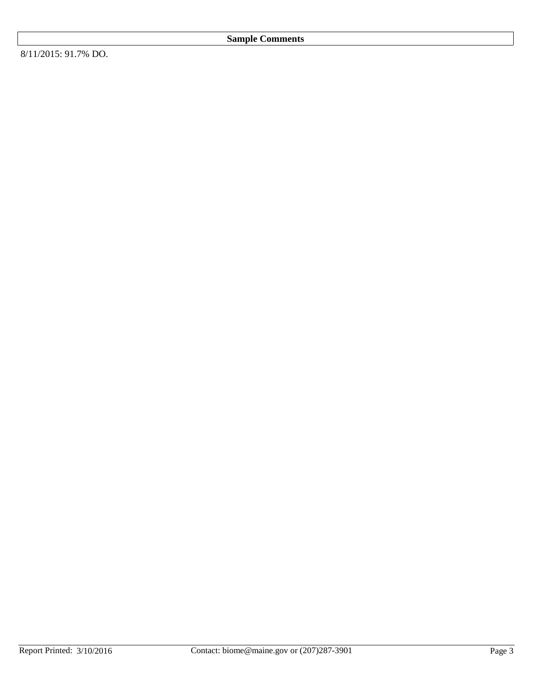8/11/2015: 91.7% DO.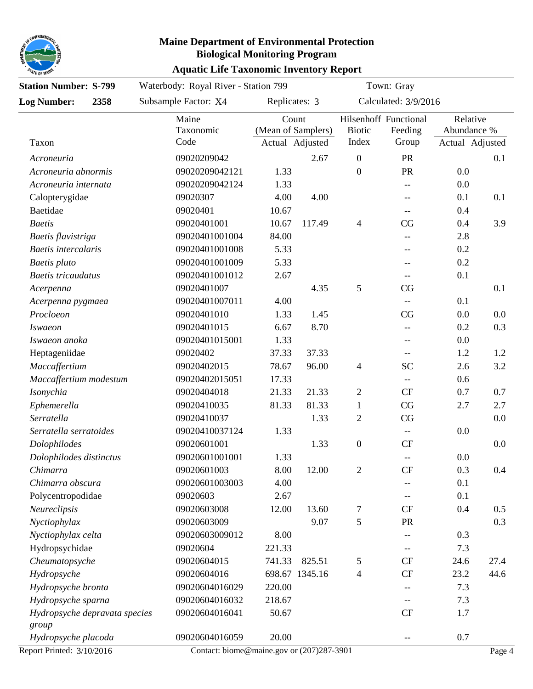

#### **Aquatic Life Taxonomic Inventory Report Maine Department of Environmental Protection Biological Monitoring Program**

| <b>Station Number: S-799</b>  |      | Waterbody: Royal River - Station 799      |               |                                       |                        | Town: Gray                                          |                                            |        |
|-------------------------------|------|-------------------------------------------|---------------|---------------------------------------|------------------------|-----------------------------------------------------|--------------------------------------------|--------|
| <b>Log Number:</b>            | 2358 | Subsample Factor: X4                      | Replicates: 3 |                                       |                        | Calculated: 3/9/2016                                |                                            |        |
| Taxon                         |      | Maine<br>Taxonomic<br>Code                | Count         | (Mean of Samplers)<br>Actual Adjusted | <b>Biotic</b><br>Index | Hilsenhoff Functional<br>Feeding<br>Group           | Relative<br>Abundance %<br>Actual Adjusted |        |
| Acroneuria                    |      | 09020209042                               |               | 2.67                                  | $\overline{0}$         | <b>PR</b>                                           |                                            | 0.1    |
| Acroneuria abnormis           |      | 09020209042121                            | 1.33          |                                       | $\mathbf{0}$           | <b>PR</b>                                           | 0.0                                        |        |
| Acroneuria internata          |      | 09020209042124                            | 1.33          |                                       |                        | $\hspace{0.05cm} -\hspace{0.05cm} -\hspace{0.05cm}$ | 0.0                                        |        |
| Calopterygidae                |      | 09020307                                  | 4.00          | 4.00                                  |                        | $\hspace{0.05cm} -\hspace{0.05cm} -\hspace{0.05cm}$ | 0.1                                        | 0.1    |
| Baetidae                      |      | 09020401                                  | 10.67         |                                       |                        | $- -$                                               | 0.4                                        |        |
| <b>Baetis</b>                 |      | 09020401001                               | 10.67         | 117.49                                | $\overline{4}$         | CG                                                  | 0.4                                        | 3.9    |
| Baetis flavistriga            |      | 09020401001004                            | 84.00         |                                       |                        | $\hspace{0.05cm} -\hspace{0.05cm} -\hspace{0.05cm}$ | 2.8                                        |        |
| Baetis intercalaris           |      | 09020401001008                            | 5.33          |                                       |                        | $-\!$ $\!-$                                         | 0.2                                        |        |
| Baetis pluto                  |      | 09020401001009                            | 5.33          |                                       |                        | $-\!$ $\!-$                                         | 0.2                                        |        |
| <b>Baetis</b> tricaudatus     |      | 09020401001012                            | 2.67          |                                       |                        | $\hspace{0.05cm} -\hspace{0.05cm} -\hspace{0.05cm}$ | 0.1                                        |        |
| Acerpenna                     |      | 09020401007                               |               | 4.35                                  | 5                      | CG                                                  |                                            | 0.1    |
| Acerpenna pygmaea             |      | 09020401007011                            | 4.00          |                                       |                        | $\overline{\phantom{a}}$                            | 0.1                                        |        |
| Procloeon                     |      | 09020401010                               | 1.33          | 1.45                                  |                        | CG                                                  | 0.0                                        | 0.0    |
| <i>Iswaeon</i>                |      | 09020401015                               | 6.67          | 8.70                                  |                        | $-$                                                 | 0.2                                        | 0.3    |
| Iswaeon anoka                 |      | 09020401015001                            | 1.33          |                                       |                        | $\hspace{0.05cm}--\hspace{0.05cm}$                  | 0.0                                        |        |
| Heptageniidae                 |      | 09020402                                  | 37.33         | 37.33                                 |                        | $-\!$ $\!-$                                         | 1.2                                        | 1.2    |
| Maccaffertium                 |      | 09020402015                               | 78.67         | 96.00                                 | $\overline{4}$         | <b>SC</b>                                           | 2.6                                        | 3.2    |
| Maccaffertium modestum        |      | 09020402015051                            | 17.33         |                                       |                        |                                                     | 0.6                                        |        |
| Isonychia                     |      | 09020404018                               | 21.33         | 21.33                                 | $\overline{2}$         | <b>CF</b>                                           | 0.7                                        | 0.7    |
| Ephemerella                   |      | 09020410035                               | 81.33         | 81.33                                 | $\mathbf{1}$           | CG                                                  | 2.7                                        | 2.7    |
| Serratella                    |      | 09020410037                               |               | 1.33                                  | $\overline{2}$         | CG                                                  |                                            | 0.0    |
| Serratella serratoides        |      | 09020410037124                            | 1.33          |                                       |                        |                                                     | 0.0                                        |        |
| Dolophilodes                  |      | 09020601001                               |               | 1.33                                  | $\boldsymbol{0}$       | CF                                                  |                                            | 0.0    |
| Dolophilodes distinctus       |      | 09020601001001                            | 1.33          |                                       |                        | $-\!$                                               | 0.0                                        |        |
| Chimarra                      |      | 09020601003                               | 8.00          | 12.00                                 | $\overline{2}$         | <b>CF</b>                                           | 0.3                                        | 0.4    |
| Chimarra obscura              |      | 09020601003003                            | 4.00          |                                       |                        |                                                     | 0.1                                        |        |
| Polycentropodidae             |      | 09020603                                  | 2.67          |                                       |                        |                                                     | 0.1                                        |        |
| Neureclipsis                  |      | 09020603008                               | 12.00         | 13.60                                 | 7                      | CF                                                  | 0.4                                        | 0.5    |
| Nyctiophylax                  |      | 09020603009                               |               | 9.07                                  | 5                      | <b>PR</b>                                           |                                            | 0.3    |
| Nyctiophylax celta            |      | 09020603009012                            | 8.00          |                                       |                        |                                                     | 0.3                                        |        |
| Hydropsychidae                |      | 09020604                                  | 221.33        |                                       |                        | --                                                  | 7.3                                        |        |
| Cheumatopsyche                |      | 09020604015                               | 741.33        | 825.51                                | 5                      | <b>CF</b>                                           | 24.6                                       | 27.4   |
| Hydropsyche                   |      | 09020604016                               |               | 698.67 1345.16                        | 4                      | <b>CF</b>                                           | 23.2                                       | 44.6   |
| Hydropsyche bronta            |      | 09020604016029                            | 220.00        |                                       |                        |                                                     | 7.3                                        |        |
| Hydropsyche sparna            |      | 09020604016032                            | 218.67        |                                       |                        |                                                     | 7.3                                        |        |
| Hydropsyche depravata species |      | 09020604016041                            | 50.67         |                                       |                        | CF                                                  | 1.7                                        |        |
| group                         |      |                                           |               |                                       |                        |                                                     |                                            |        |
| Hydropsyche placoda           |      | 09020604016059                            | 20.00         |                                       |                        | $\hspace{0.05cm} -\hspace{0.05cm} -\hspace{0.05cm}$ | 0.7                                        |        |
| Report Printed: 3/10/2016     |      | Contact: biome@maine.gov or (207)287-3901 |               |                                       |                        |                                                     |                                            | Page 4 |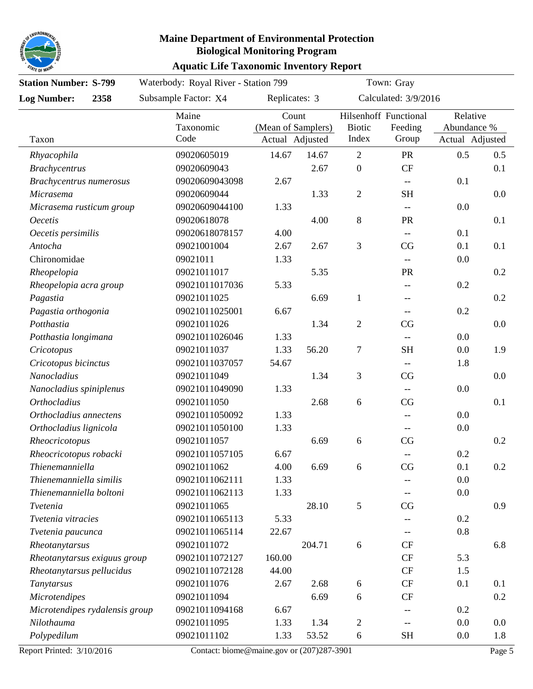

| <b>Station Number: S-799</b>   |      | Waterbody: Royal River - Station 799      | Town: Gray      |                             |                  |                                                     |                         |        |
|--------------------------------|------|-------------------------------------------|-----------------|-----------------------------|------------------|-----------------------------------------------------|-------------------------|--------|
| <b>Log Number:</b>             | 2358 | Subsample Factor: X4                      |                 | Replicates: 3               |                  | Calculated: 3/9/2016                                |                         |        |
|                                |      | Maine<br>Taxonomic                        |                 | Count<br>(Mean of Samplers) |                  | Hilsenhoff Functional<br>Feeding                    | Relative<br>Abundance % |        |
| Taxon                          |      | Code                                      | Actual Adjusted |                             | Index            | Group                                               | Actual Adjusted         |        |
| Rhyacophila                    |      | 09020605019                               | 14.67           | 14.67                       | $\sqrt{2}$       | PR                                                  | 0.5                     | 0.5    |
| <b>Brachycentrus</b>           |      | 09020609043                               |                 | 2.67                        | $\boldsymbol{0}$ | CF                                                  |                         | 0.1    |
| Brachycentrus numerosus        |      | 09020609043098                            | 2.67            |                             |                  | $\overline{\phantom{a}}$                            | 0.1                     |        |
| Micrasema                      |      | 09020609044                               |                 | 1.33                        | $\sqrt{2}$       | <b>SH</b>                                           |                         | 0.0    |
| Micrasema rusticum group       |      | 09020609044100                            | 1.33            |                             |                  | $\overline{\phantom{m}}$                            | 0.0                     |        |
| <b>Oecetis</b>                 |      | 09020618078                               |                 | 4.00                        | 8                | PR                                                  |                         | 0.1    |
| Oecetis persimilis             |      | 09020618078157                            | 4.00            |                             |                  | $\overline{\phantom{m}}$                            | 0.1                     |        |
| Antocha                        |      | 09021001004                               | 2.67            | 2.67                        | 3                | CG                                                  | 0.1                     | 0.1    |
| Chironomidae                   |      | 09021011                                  | 1.33            |                             |                  |                                                     | 0.0                     |        |
| Rheopelopia                    |      | 09021011017                               |                 | 5.35                        |                  | PR                                                  |                         | 0.2    |
| Rheopelopia acra group         |      | 09021011017036                            | 5.33            |                             |                  | --                                                  | 0.2                     |        |
| Pagastia                       |      | 09021011025                               |                 | 6.69                        | $\mathbf{1}$     | $-\!$                                               |                         | 0.2    |
| Pagastia orthogonia            |      | 09021011025001                            | 6.67            |                             |                  |                                                     | 0.2                     |        |
| Potthastia                     |      | 09021011026                               |                 | 1.34                        | $\overline{2}$   | CG                                                  |                         | 0.0    |
| Potthastia longimana           |      | 09021011026046                            | 1.33            |                             |                  | $\overline{\phantom{a}}$                            | 0.0                     |        |
| Cricotopus                     |      | 09021011037                               | 1.33            | 56.20                       | $\tau$           | <b>SH</b>                                           | 0.0                     | 1.9    |
| Cricotopus bicinctus           |      | 09021011037057                            | 54.67           |                             |                  |                                                     | 1.8                     |        |
| Nanocladius                    |      | 09021011049                               |                 | 1.34                        | 3                | CG                                                  |                         | 0.0    |
| Nanocladius spiniplenus        |      | 09021011049090                            | 1.33            |                             |                  | $\hspace{0.05cm} -\hspace{0.05cm} -\hspace{0.05cm}$ | 0.0                     |        |
| <b>Orthocladius</b>            |      | 09021011050                               |                 | 2.68                        | 6                | CG                                                  |                         | 0.1    |
| Orthocladius annectens         |      | 09021011050092                            | 1.33            |                             |                  | $\hspace{0.05cm} -\hspace{0.05cm} -\hspace{0.05cm}$ | 0.0                     |        |
| Orthocladius lignicola         |      | 09021011050100                            | 1.33            |                             |                  | $\hspace{0.05cm} -\hspace{0.05cm} -\hspace{0.05cm}$ | 0.0                     |        |
| Rheocricotopus                 |      | 09021011057                               |                 | 6.69                        | 6                | CG                                                  |                         | 0.2    |
| Rheocricotopus robacki         |      | 09021011057105                            | 6.67            |                             |                  | $\hspace{0.05cm}--\hspace{0.05cm}$                  | 0.2                     |        |
| Thienemanniella                |      | 09021011062                               | 4.00            | 6.69                        | 6                | CG                                                  | 0.1                     | 0.2    |
| Thienemanniella similis        |      | 09021011062111                            | 1.33            |                             |                  |                                                     | 0.0                     |        |
| Thienemanniella boltoni        |      | 09021011062113                            | 1.33            |                             |                  |                                                     | 0.0                     |        |
| Tvetenia                       |      | 09021011065                               |                 | 28.10                       | 5                | CG                                                  |                         | 0.9    |
| Tvetenia vitracies             |      | 09021011065113                            | 5.33            |                             |                  |                                                     | 0.2                     |        |
| Tvetenia paucunca              |      | 09021011065114                            | 22.67           |                             |                  |                                                     | 0.8                     |        |
| Rheotanytarsus                 |      | 09021011072                               |                 | 204.71                      | 6                | <b>CF</b>                                           |                         | 6.8    |
| Rheotanytarsus exiguus group   |      | 09021011072127                            | 160.00          |                             |                  | CF                                                  | 5.3                     |        |
| Rheotanytarsus pellucidus      |      | 09021011072128                            | 44.00           |                             |                  | <b>CF</b>                                           | 1.5                     |        |
| Tanytarsus                     |      | 09021011076                               | 2.67            | 2.68                        | 6                | <b>CF</b>                                           | 0.1                     | 0.1    |
| Microtendipes                  |      | 09021011094                               |                 | 6.69                        | 6                | CF                                                  |                         | 0.2    |
| Microtendipes rydalensis group |      | 09021011094168                            | 6.67            |                             |                  |                                                     | 0.2                     |        |
| Nilothauma                     |      | 09021011095                               | 1.33            | 1.34                        | $\overline{2}$   |                                                     | 0.0                     | 0.0    |
| Polypedilum                    |      | 09021011102                               | 1.33            | 53.52                       | 6                | <b>SH</b>                                           | 0.0                     | 1.8    |
| Report Printed: 3/10/2016      |      | Contact: biome@maine.gov or (207)287-3901 |                 |                             |                  |                                                     |                         | Page 5 |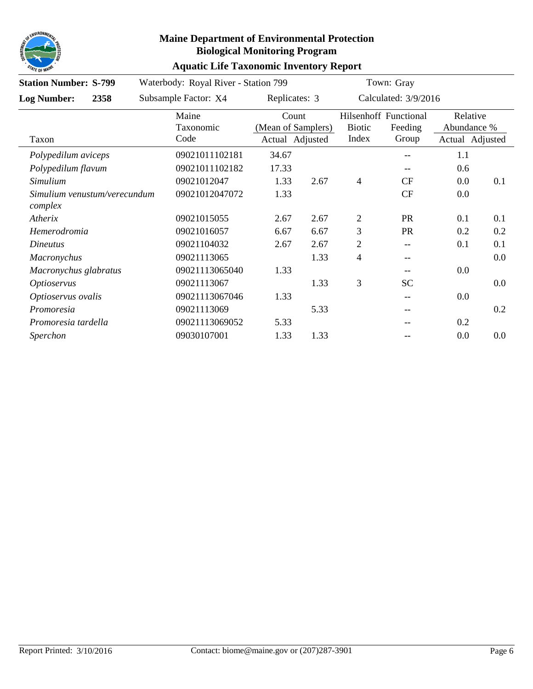

| <b>Station Number: S-799</b>            |                            | Waterbody: Royal River - Station 799 |                                                |                        | Town: Gray                                          |                                            |     |
|-----------------------------------------|----------------------------|--------------------------------------|------------------------------------------------|------------------------|-----------------------------------------------------|--------------------------------------------|-----|
| 2358<br><b>Log Number:</b>              | Subsample Factor: X4       | Replicates: 3                        |                                                |                        | Calculated: 3/9/2016                                |                                            |     |
| Taxon                                   | Maine<br>Taxonomic<br>Code |                                      | Count<br>(Mean of Samplers)<br>Actual Adjusted | <b>Biotic</b><br>Index | Hilsenhoff Functional<br>Feeding<br>Group           | Relative<br>Abundance %<br>Actual Adjusted |     |
| Polypedilum aviceps                     | 09021011102181             | 34.67                                |                                                |                        | --                                                  | 1.1                                        |     |
| Polypedilum flavum                      | 09021011102182             | 17.33                                |                                                |                        | --                                                  | 0.6                                        |     |
| Simulium                                | 09021012047                | 1.33                                 | 2.67                                           | $\overline{4}$         | <b>CF</b>                                           | 0.0                                        | 0.1 |
| Simulium venustum/verecundum<br>complex | 09021012047072             | 1.33                                 |                                                |                        | <b>CF</b>                                           | 0.0                                        |     |
| Atherix                                 | 09021015055                | 2.67                                 | 2.67                                           | $\overline{2}$         | <b>PR</b>                                           | 0.1                                        | 0.1 |
| Hemerodromia                            | 09021016057                | 6.67                                 | 6.67                                           | 3                      | <b>PR</b>                                           | 0.2                                        | 0.2 |
| Dineutus                                | 09021104032                | 2.67                                 | 2.67                                           | $\overline{2}$         | $\hspace{0.05cm}$ $\hspace{0.05cm}$                 | 0.1                                        | 0.1 |
| <b>Macronychus</b>                      | 09021113065                |                                      | 1.33                                           | $\overline{4}$         | --                                                  |                                            | 0.0 |
| Macronychus glabratus                   | 09021113065040             | 1.33                                 |                                                |                        | --                                                  | 0.0                                        |     |
| <i><b>Optioservus</b></i>               | 09021113067                |                                      | 1.33                                           | 3                      | <b>SC</b>                                           |                                            | 0.0 |
| Optioservus ovalis                      | 09021113067046             | 1.33                                 |                                                |                        | $- -$                                               | 0.0                                        |     |
| Promoresia                              | 09021113069                |                                      | 5.33                                           |                        | $\hspace{0.05cm} -\hspace{0.05cm} -\hspace{0.05cm}$ |                                            | 0.2 |
| Promoresia tardella                     | 09021113069052             | 5.33                                 |                                                |                        | --                                                  | 0.2                                        |     |
| Sperchon                                | 09030107001                | 1.33                                 | 1.33                                           |                        |                                                     | 0.0                                        | 0.0 |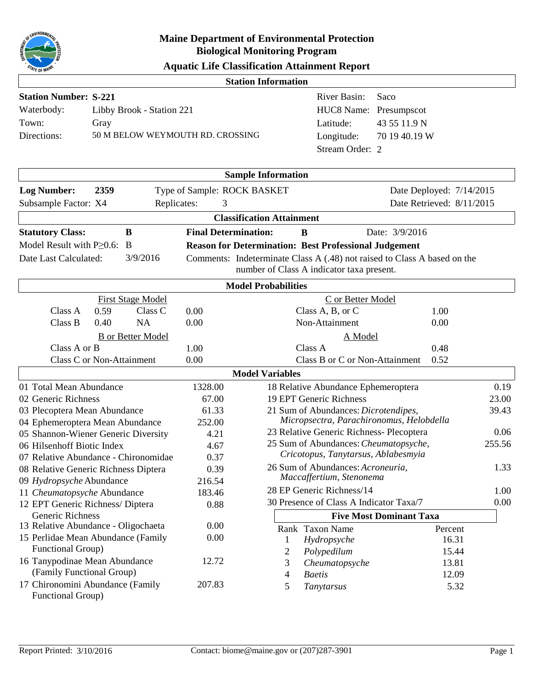

| <b>Aquatic Life Classification Attainment Report</b> |  |
|------------------------------------------------------|--|
|------------------------------------------------------|--|

| ייי ב∪ זיי                                              |                           |                                  |                             |                                                                              |                                                              |                                                                          |       |  |
|---------------------------------------------------------|---------------------------|----------------------------------|-----------------------------|------------------------------------------------------------------------------|--------------------------------------------------------------|--------------------------------------------------------------------------|-------|--|
|                                                         |                           |                                  |                             | <b>Station Information</b>                                                   |                                                              |                                                                          |       |  |
| <b>Station Number: S-221</b>                            |                           |                                  |                             |                                                                              | River Basin:                                                 | Saco                                                                     |       |  |
| Waterbody:                                              | Libby Brook - Station 221 |                                  |                             |                                                                              |                                                              | Presumpscot                                                              |       |  |
| Town:                                                   | Gray                      |                                  |                             |                                                                              | Latitude:                                                    | 43 55 11.9 N                                                             |       |  |
| Directions:                                             |                           | 50 M BELOW WEYMOUTH RD. CROSSING |                             |                                                                              | Longitude:                                                   | 70 19 40.19 W                                                            |       |  |
|                                                         |                           |                                  |                             |                                                                              | Stream Order: 2                                              |                                                                          |       |  |
|                                                         |                           |                                  |                             |                                                                              |                                                              |                                                                          |       |  |
|                                                         |                           |                                  |                             | <b>Sample Information</b>                                                    |                                                              |                                                                          |       |  |
| <b>Log Number:</b>                                      | 2359                      |                                  |                             | Type of Sample: ROCK BASKET                                                  |                                                              | Date Deployed: 7/14/2015                                                 |       |  |
| Subsample Factor: X4                                    |                           | Replicates:                      | 3                           |                                                                              |                                                              | Date Retrieved: 8/11/2015                                                |       |  |
|                                                         |                           |                                  |                             | <b>Classification Attainment</b>                                             |                                                              |                                                                          |       |  |
| <b>Statutory Class:</b>                                 |                           | B                                | <b>Final Determination:</b> |                                                                              | B                                                            | Date: 3/9/2016                                                           |       |  |
| Model Result with $P \geq 0.6$ : B                      |                           |                                  |                             |                                                                              | <b>Reason for Determination: Best Professional Judgement</b> |                                                                          |       |  |
| Date Last Calculated:                                   |                           | 3/9/2016                         |                             |                                                                              |                                                              | Comments: Indeterminate Class A (.48) not raised to Class A based on the |       |  |
|                                                         |                           |                                  |                             |                                                                              | number of Class A indicator taxa present.                    |                                                                          |       |  |
|                                                         |                           |                                  |                             | <b>Model Probabilities</b>                                                   |                                                              |                                                                          |       |  |
|                                                         |                           | <b>First Stage Model</b>         |                             |                                                                              | C or Better Model                                            |                                                                          |       |  |
| Class A                                                 | 0.59                      | Class C                          | 0.00                        |                                                                              | Class A, B, or C                                             | 1.00                                                                     |       |  |
| Class B                                                 | 0.40                      | <b>NA</b>                        | 0.00                        |                                                                              | Non-Attainment                                               | 0.00                                                                     |       |  |
|                                                         |                           | <b>B</b> or Better Model         |                             |                                                                              | A Model                                                      |                                                                          |       |  |
| Class A or B                                            |                           |                                  | 1.00                        |                                                                              | Class A                                                      | 0.48                                                                     |       |  |
|                                                         |                           | Class C or Non-Attainment        | 0.00                        | Class B or C or Non-Attainment<br>0.52                                       |                                                              |                                                                          |       |  |
|                                                         |                           |                                  |                             | <b>Model Variables</b>                                                       |                                                              |                                                                          |       |  |
| 01 Total Mean Abundance                                 |                           |                                  | 1328.00                     |                                                                              | 18 Relative Abundance Ephemeroptera                          |                                                                          | 0.19  |  |
| 02 Generic Richness                                     |                           |                                  | 67.00                       | 19 EPT Generic Richness<br>23.00                                             |                                                              |                                                                          |       |  |
| 03 Plecoptera Mean Abundance                            |                           |                                  | 61.33                       |                                                                              | 21 Sum of Abundances: Dicrotendipes,                         |                                                                          | 39.43 |  |
| 04 Ephemeroptera Mean Abundance                         |                           |                                  | 252.00                      |                                                                              |                                                              | Micropsectra, Parachironomus, Helobdella                                 | 0.06  |  |
| 05 Shannon-Wiener Generic Diversity                     |                           |                                  | 4.21                        | 23 Relative Generic Richness- Plecoptera<br>255.56                           |                                                              |                                                                          |       |  |
| 06 Hilsenhoff Biotic Index                              |                           |                                  | 4.67                        | 25 Sum of Abundances: Cheumatopsyche,<br>Cricotopus, Tanytarsus, Ablabesmyia |                                                              |                                                                          |       |  |
| 07 Relative Abundance - Chironomidae                    |                           |                                  | 0.37                        |                                                                              | 26 Sum of Abundances: Acroneuria,                            |                                                                          | 1.33  |  |
| 08 Relative Generic Richness Diptera                    |                           |                                  | 0.39<br>216.54              |                                                                              | Maccaffertium, Stenonema                                     |                                                                          |       |  |
| 09 Hydropsyche Abundance<br>11 Cheumatopsyche Abundance |                           |                                  | 183.46                      |                                                                              | 28 EP Generic Richness/14                                    |                                                                          | 1.00  |  |
| 12 EPT Generic Richness/ Diptera                        |                           |                                  | 0.88                        |                                                                              | 30 Presence of Class A Indicator Taxa/7                      |                                                                          | 0.00  |  |
| Generic Richness                                        |                           |                                  |                             |                                                                              |                                                              | <b>Five Most Dominant Taxa</b>                                           |       |  |
| 13 Relative Abundance - Oligochaeta                     |                           |                                  | 0.00                        |                                                                              | Rank Taxon Name                                              | Percent                                                                  |       |  |
| 15 Perlidae Mean Abundance (Family                      |                           |                                  | 0.00                        | 1                                                                            | Hydropsyche                                                  |                                                                          | 16.31 |  |
| Functional Group)                                       |                           |                                  |                             | 2                                                                            | Polypedilum                                                  |                                                                          | 15.44 |  |
| 16 Tanypodinae Mean Abundance                           |                           |                                  | 12.72                       | 3                                                                            | Cheumatopsyche                                               | 13.81                                                                    |       |  |
| (Family Functional Group)                               |                           |                                  |                             | 4                                                                            | <b>Baetis</b>                                                |                                                                          | 12.09 |  |
| 17 Chironomini Abundance (Family<br>Functional Group)   |                           |                                  | 207.83                      | 5                                                                            | Tanytarsus                                                   |                                                                          | 5.32  |  |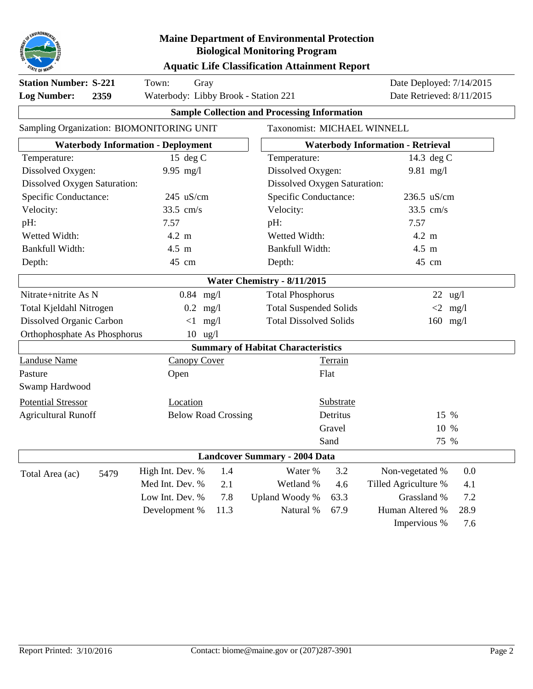

#### **Aquatic Life Classification Attainment Report**

| <b>Station Number: S-221</b><br><b>Log Number:</b><br>2359 | Town:<br>Gray<br>Waterbody: Libby Brook - Station 221 |      | Date Deployed: 7/14/2015<br>Date Retrieved: 8/11/2015 |                                             |                                          |            |  |  |
|------------------------------------------------------------|-------------------------------------------------------|------|-------------------------------------------------------|---------------------------------------------|------------------------------------------|------------|--|--|
|                                                            |                                                       |      | <b>Sample Collection and Processing Information</b>   |                                             |                                          |            |  |  |
| Sampling Organization: BIOMONITORING UNIT                  |                                                       |      | Taxonomist: MICHAEL WINNELL                           |                                             |                                          |            |  |  |
|                                                            | <b>Waterbody Information - Deployment</b>             |      |                                                       |                                             | <b>Waterbody Information - Retrieval</b> |            |  |  |
| Temperature:                                               | 15 deg $C$                                            |      | Temperature:                                          |                                             | 14.3 deg C                               |            |  |  |
| Dissolved Oxygen:                                          | $9.95$ mg/l                                           |      | Dissolved Oxygen:                                     |                                             | $9.81$ mg/l                              |            |  |  |
| Dissolved Oxygen Saturation:                               |                                                       |      | Dissolved Oxygen Saturation:                          |                                             |                                          |            |  |  |
| Specific Conductance:                                      | 245 uS/cm                                             |      | Specific Conductance:                                 |                                             | 236.5 uS/cm                              |            |  |  |
| Velocity:                                                  | 33.5 cm/s                                             |      | Velocity:                                             |                                             | 33.5 cm/s                                |            |  |  |
| pH:                                                        | 7.57                                                  |      | pH:                                                   |                                             | 7.57                                     |            |  |  |
| Wetted Width:                                              | 4.2 m                                                 |      | Wetted Width:                                         |                                             | 4.2 m                                    |            |  |  |
| Bankfull Width:                                            | 4.5 m                                                 |      | Bankfull Width:                                       |                                             | 4.5 m                                    |            |  |  |
| Depth:                                                     | 45 cm                                                 |      | Depth:                                                |                                             | 45 cm                                    |            |  |  |
|                                                            |                                                       |      | Water Chemistry - 8/11/2015                           |                                             |                                          |            |  |  |
| Nitrate+nitrite As N                                       | $0.84$ mg/l                                           |      | <b>Total Phosphorus</b>                               |                                             | 22                                       | ug/l       |  |  |
| Total Kjeldahl Nitrogen                                    | $0.2$ mg/l                                            |      |                                                       | <b>Total Suspended Solids</b><br>$<$ 2 mg/l |                                          |            |  |  |
| Dissolved Organic Carbon                                   | $<1$ mg/l                                             |      | <b>Total Dissolved Solids</b>                         |                                             |                                          | $160$ mg/l |  |  |
| Orthophosphate As Phosphorus                               | $10 \text{ ug}/l$                                     |      |                                                       |                                             |                                          |            |  |  |
|                                                            |                                                       |      | <b>Summary of Habitat Characteristics</b>             |                                             |                                          |            |  |  |
| <b>Landuse Name</b>                                        | <b>Canopy Cover</b>                                   |      |                                                       | Terrain                                     |                                          |            |  |  |
| Pasture                                                    | Open                                                  |      |                                                       | Flat                                        |                                          |            |  |  |
| Swamp Hardwood                                             |                                                       |      |                                                       |                                             |                                          |            |  |  |
| <b>Potential Stressor</b>                                  | Location                                              |      |                                                       | Substrate                                   |                                          |            |  |  |
| <b>Agricultural Runoff</b>                                 | <b>Below Road Crossing</b>                            |      |                                                       | Detritus                                    |                                          | 15 %       |  |  |
|                                                            |                                                       |      |                                                       | Gravel                                      | 10 %                                     |            |  |  |
|                                                            |                                                       |      |                                                       | Sand                                        | 75 %                                     |            |  |  |
|                                                            |                                                       |      | <b>Landcover Summary - 2004 Data</b>                  |                                             |                                          |            |  |  |
| 5479<br>Total Area (ac)                                    | High Int. Dev. %                                      | 1.4  | Water %                                               | 3.2                                         | Non-vegetated %                          | 0.0        |  |  |
|                                                            | Med Int. Dev. %                                       | 2.1  | Wetland %                                             | 4.6                                         | Tilled Agriculture %                     | 4.1        |  |  |
|                                                            | Low Int. Dev. %                                       | 7.8  | Upland Woody %                                        | 63.3                                        | Grassland %                              | 7.2        |  |  |
|                                                            | Development %                                         | 11.3 | Natural %                                             | 67.9                                        | Human Altered %                          | 28.9       |  |  |
|                                                            |                                                       |      |                                                       |                                             | Impervious %                             | 7.6        |  |  |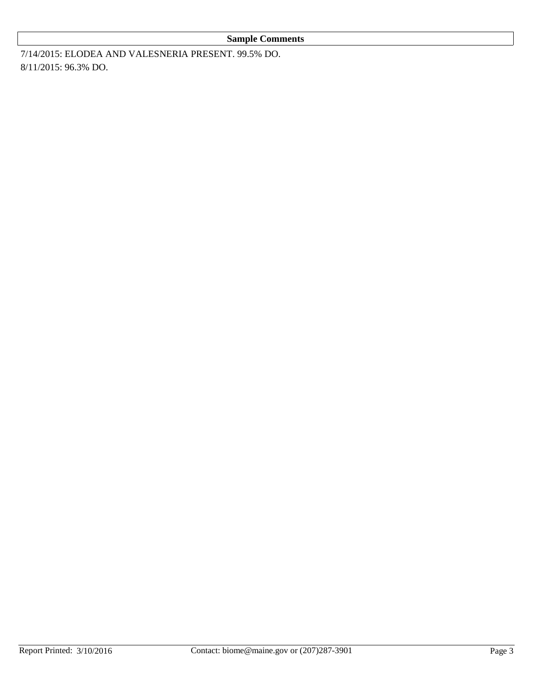#### **Sample Comments**

7/14/2015: ELODEA AND VALESNERIA PRESENT. 99.5% DO. 8/11/2015: 96.3% DO.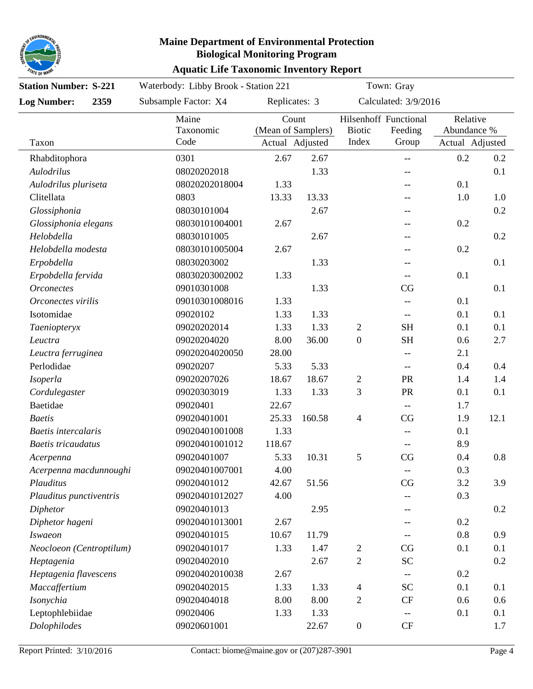

### **Aquatic Life Taxonomic Inventory Report Maine Department of Environmental Protection Biological Monitoring Program**

| <b>Station Number: S-221</b> |  | Waterbody: Libby Brook - Station 221 | Town: Gray                                     |        |                          |                                                     |     |                                            |
|------------------------------|--|--------------------------------------|------------------------------------------------|--------|--------------------------|-----------------------------------------------------|-----|--------------------------------------------|
| 2359<br><b>Log Number:</b>   |  | Subsample Factor: X4                 | Replicates: 3                                  |        | Calculated: 3/9/2016     |                                                     |     |                                            |
| Taxon                        |  | Maine<br>Taxonomic<br>Code           | Count<br>(Mean of Samplers)<br>Actual Adjusted |        | <b>Biotic</b><br>Index   | Hilsenhoff Functional<br>Feeding<br>Group           |     | Relative<br>Abundance %<br>Actual Adjusted |
| Rhabditophora                |  | 0301                                 | 2.67                                           | 2.67   |                          | $\hspace{0.05cm} -\hspace{0.05cm} -\hspace{0.05cm}$ | 0.2 | 0.2                                        |
| Aulodrilus                   |  | 08020202018                          |                                                | 1.33   |                          | --                                                  |     | 0.1                                        |
| Aulodrilus pluriseta         |  | 08020202018004                       | 1.33                                           |        |                          |                                                     | 0.1 |                                            |
| Clitellata                   |  | 0803                                 | 13.33                                          | 13.33  |                          | --                                                  | 1.0 | 1.0                                        |
| Glossiphonia                 |  | 08030101004                          |                                                | 2.67   |                          |                                                     |     | 0.2                                        |
| Glossiphonia elegans         |  | 08030101004001                       | 2.67                                           |        |                          |                                                     | 0.2 |                                            |
| Helobdella                   |  | 08030101005                          |                                                | 2.67   |                          |                                                     |     | 0.2                                        |
| Helobdella modesta           |  | 08030101005004                       | 2.67                                           |        |                          |                                                     | 0.2 |                                            |
| Erpobdella                   |  | 08030203002                          |                                                | 1.33   |                          |                                                     |     | 0.1                                        |
| Erpobdella fervida           |  | 08030203002002                       | 1.33                                           |        |                          | $-\!$                                               | 0.1 |                                            |
| <b>Orconectes</b>            |  | 09010301008                          |                                                | 1.33   |                          | CG                                                  |     | 0.1                                        |
| Orconectes virilis           |  | 09010301008016                       | 1.33                                           |        |                          |                                                     | 0.1 |                                            |
| Isotomidae                   |  | 09020102                             | 1.33                                           | 1.33   |                          |                                                     | 0.1 | 0.1                                        |
| Taeniopteryx                 |  | 09020202014                          | 1.33                                           | 1.33   | 2                        | <b>SH</b>                                           | 0.1 | 0.1                                        |
| Leuctra                      |  | 09020204020                          | 8.00                                           | 36.00  | $\mathbf{0}$             | <b>SH</b>                                           | 0.6 | 2.7                                        |
| Leuctra ferruginea           |  | 09020204020050                       | 28.00                                          |        |                          |                                                     | 2.1 |                                            |
| Perlodidae                   |  | 09020207                             | 5.33                                           | 5.33   |                          |                                                     | 0.4 | 0.4                                        |
| Isoperla                     |  | 09020207026                          | 18.67                                          | 18.67  | 2                        | PR                                                  | 1.4 | 1.4                                        |
| Cordulegaster                |  | 09020303019                          | 1.33                                           | 1.33   | 3                        | PR                                                  | 0.1 | 0.1                                        |
| Baetidae                     |  | 09020401                             | 22.67                                          |        |                          | $\hspace{0.05cm} -\hspace{0.05cm} -\hspace{0.05cm}$ | 1.7 |                                            |
| <b>Baetis</b>                |  | 09020401001                          | 25.33                                          | 160.58 | $\overline{\mathcal{A}}$ | CG                                                  | 1.9 | 12.1                                       |
| Baetis intercalaris          |  | 09020401001008                       | 1.33                                           |        |                          |                                                     | 0.1 |                                            |
| <b>Baetis</b> tricaudatus    |  | 09020401001012                       | 118.67                                         |        |                          |                                                     | 8.9 |                                            |
| Acerpenna                    |  | 09020401007                          | 5.33                                           | 10.31  | 5                        | CG                                                  | 0.4 | 0.8                                        |
| Acerpenna macdunnoughi       |  | 09020401007001                       | 4.00                                           |        |                          | --                                                  | 0.3 |                                            |
| Plauditus                    |  | 09020401012                          | 42.67                                          | 51.56  |                          | CG                                                  | 3.2 | 3.9                                        |
| Plauditus punctiventris      |  | 09020401012027                       | 4.00                                           |        |                          |                                                     | 0.3 |                                            |
| Diphetor                     |  | 09020401013                          |                                                | 2.95   |                          |                                                     |     | 0.2                                        |
| Diphetor hageni              |  | 09020401013001                       | 2.67                                           |        |                          |                                                     | 0.2 |                                            |
| <b>Iswaeon</b>               |  | 09020401015                          | 10.67                                          | 11.79  |                          |                                                     | 0.8 | 0.9                                        |
| Neocloeon (Centroptilum)     |  | 09020401017                          | 1.33                                           | 1.47   | 2                        | CG                                                  | 0.1 | 0.1                                        |
| Heptagenia                   |  | 09020402010                          |                                                | 2.67   | $\mathbf{2}$             | <b>SC</b>                                           |     | 0.2                                        |
| Heptagenia flavescens        |  | 09020402010038                       | 2.67                                           |        |                          |                                                     | 0.2 |                                            |
| Maccaffertium                |  | 09020402015                          | 1.33                                           | 1.33   | 4                        | <b>SC</b>                                           | 0.1 | 0.1                                        |
| Isonychia                    |  | 09020404018                          | 8.00                                           | 8.00   | $\overline{2}$           | CF                                                  | 0.6 | 0.6                                        |
| Leptophlebiidae              |  | 09020406                             | 1.33                                           | 1.33   |                          | --                                                  | 0.1 | 0.1                                        |
| Dolophilodes                 |  | 09020601001                          |                                                | 22.67  | $\boldsymbol{0}$         | $\cal{CF}$                                          |     | 1.7                                        |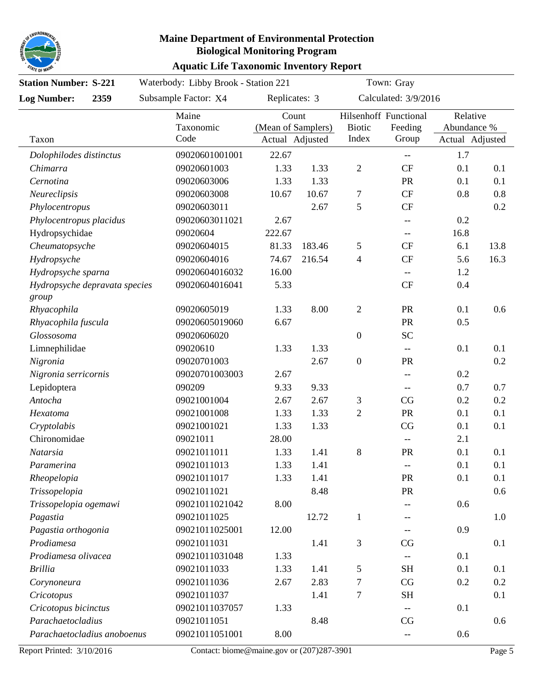

| <b>Station Number: S-221</b>           |      | Waterbody: Libby Brook - Station 221 |                                                                 |        | Town: Gray             |                                                     |                                            |      |  |
|----------------------------------------|------|--------------------------------------|-----------------------------------------------------------------|--------|------------------------|-----------------------------------------------------|--------------------------------------------|------|--|
| <b>Log Number:</b>                     | 2359 | Subsample Factor: X4                 | Replicates: 3<br>Count<br>(Mean of Samplers)<br>Actual Adjusted |        | Calculated: 3/9/2016   |                                                     |                                            |      |  |
| Taxon                                  |      | Maine<br>Taxonomic<br>Code           |                                                                 |        | <b>Biotic</b><br>Index | Hilsenhoff Functional<br>Feeding<br>Group           | Relative<br>Abundance %<br>Actual Adjusted |      |  |
|                                        |      |                                      |                                                                 |        |                        |                                                     |                                            |      |  |
| Dolophilodes distinctus                |      | 09020601001001                       | 22.67                                                           |        |                        | $\hspace{0.05cm}--\hspace{0.05cm}$                  | 1.7                                        |      |  |
| Chimarra                               |      | 09020601003                          | 1.33                                                            | 1.33   | $\sqrt{2}$             | <b>CF</b>                                           | 0.1                                        | 0.1  |  |
| Cernotina                              |      | 09020603006                          | 1.33                                                            | 1.33   |                        | <b>PR</b>                                           | 0.1                                        | 0.1  |  |
| Neureclipsis                           |      | 09020603008                          | 10.67                                                           | 10.67  | $\boldsymbol{7}$       | CF                                                  | 0.8                                        | 0.8  |  |
| Phylocentropus                         |      | 09020603011                          |                                                                 | 2.67   | 5                      | <b>CF</b>                                           |                                            | 0.2  |  |
| Phylocentropus placidus                |      | 09020603011021                       | 2.67                                                            |        |                        |                                                     | 0.2                                        |      |  |
| Hydropsychidae                         |      | 09020604                             | 222.67                                                          |        |                        | $-\!$                                               | 16.8                                       |      |  |
| Cheumatopsyche                         |      | 09020604015                          | 81.33                                                           | 183.46 | $\mathfrak{S}$         | <b>CF</b>                                           | 6.1                                        | 13.8 |  |
| Hydropsyche                            |      | 09020604016                          | 74.67                                                           | 216.54 | $\overline{4}$         | <b>CF</b>                                           | 5.6                                        | 16.3 |  |
| Hydropsyche sparna                     |      | 09020604016032                       | 16.00                                                           |        |                        | $-\!$                                               | 1.2                                        |      |  |
| Hydropsyche depravata species<br>group |      | 09020604016041                       | 5.33                                                            |        |                        | <b>CF</b>                                           | 0.4                                        |      |  |
| Rhyacophila                            |      | 09020605019                          | 1.33                                                            | 8.00   | $\sqrt{2}$             | PR                                                  | 0.1                                        | 0.6  |  |
| Rhyacophila fuscula                    |      | 09020605019060                       | 6.67                                                            |        |                        | PR                                                  | 0.5                                        |      |  |
| Glossosoma                             |      | 09020606020                          |                                                                 |        | $\boldsymbol{0}$       | <b>SC</b>                                           |                                            |      |  |
| Limnephilidae                          |      | 09020610                             | 1.33                                                            | 1.33   |                        | $-\!$                                               | 0.1                                        | 0.1  |  |
| Nigronia                               |      | 09020701003                          |                                                                 | 2.67   | $\boldsymbol{0}$       | PR                                                  |                                            | 0.2  |  |
| Nigronia serricornis                   |      | 09020701003003                       | 2.67                                                            |        |                        | $\hspace{0.05cm} -\hspace{0.05cm} -\hspace{0.05cm}$ | 0.2                                        |      |  |
| Lepidoptera                            |      | 090209                               | 9.33                                                            | 9.33   |                        | $\hspace{0.05cm} -\hspace{0.05cm} -\hspace{0.05cm}$ | 0.7                                        | 0.7  |  |
| Antocha                                |      | 09021001004                          | 2.67                                                            | 2.67   | $\mathfrak{Z}$         | CG                                                  | 0.2                                        | 0.2  |  |
| Hexatoma                               |      | 09021001008                          | 1.33                                                            | 1.33   | $\overline{2}$         | PR                                                  | 0.1                                        | 0.1  |  |
| Cryptolabis                            |      | 09021001021                          | 1.33                                                            | 1.33   |                        | CG                                                  | 0.1                                        | 0.1  |  |
| Chironomidae                           |      | 09021011                             | 28.00                                                           |        |                        | $-\!$                                               | 2.1                                        |      |  |
| Natarsia                               |      | 09021011011                          | 1.33                                                            | 1.41   | 8                      | PR                                                  | 0.1                                        | 0.1  |  |
| Paramerina                             |      | 09021011013                          | 1.33                                                            | 1.41   |                        |                                                     | 0.1                                        | 0.1  |  |
| Rheopelopia                            |      | 09021011017                          | 1.33                                                            | 1.41   |                        | PR                                                  | 0.1                                        | 0.1  |  |
| Trissopelopia                          |      | 09021011021                          |                                                                 | 8.48   |                        | PR                                                  |                                            | 0.6  |  |
| Trissopelopia ogemawi                  |      | 09021011021042                       | 8.00                                                            |        |                        |                                                     | 0.6                                        |      |  |
| Pagastia                               |      | 09021011025                          |                                                                 | 12.72  | $\mathbf{1}$           |                                                     |                                            | 1.0  |  |
| Pagastia orthogonia                    |      | 09021011025001                       | 12.00                                                           |        |                        |                                                     | 0.9                                        |      |  |
| Prodiamesa                             |      | 09021011031                          |                                                                 | 1.41   | $\mathfrak{Z}$         | CG                                                  |                                            | 0.1  |  |
| Prodiamesa olivacea                    |      | 09021011031048                       | 1.33                                                            |        |                        |                                                     | 0.1                                        |      |  |
| <b>Brillia</b>                         |      | 09021011033                          | 1.33                                                            | 1.41   | 5                      | <b>SH</b>                                           | 0.1                                        | 0.1  |  |
| Corynoneura                            |      | 09021011036                          | 2.67                                                            | 2.83   | $\boldsymbol{7}$       | CG                                                  | 0.2                                        | 0.2  |  |
| Cricotopus                             |      | 09021011037                          |                                                                 | 1.41   | $\boldsymbol{7}$       | <b>SH</b>                                           |                                            | 0.1  |  |
| Cricotopus bicinctus                   |      | 09021011037057                       | 1.33                                                            |        |                        |                                                     | 0.1                                        |      |  |
| Parachaetocladius                      |      | 09021011051                          |                                                                 | 8.48   |                        | CG                                                  |                                            | 0.6  |  |
| Parachaetocladius anoboenus            |      | 09021011051001                       | 8.00                                                            |        |                        |                                                     | 0.6                                        |      |  |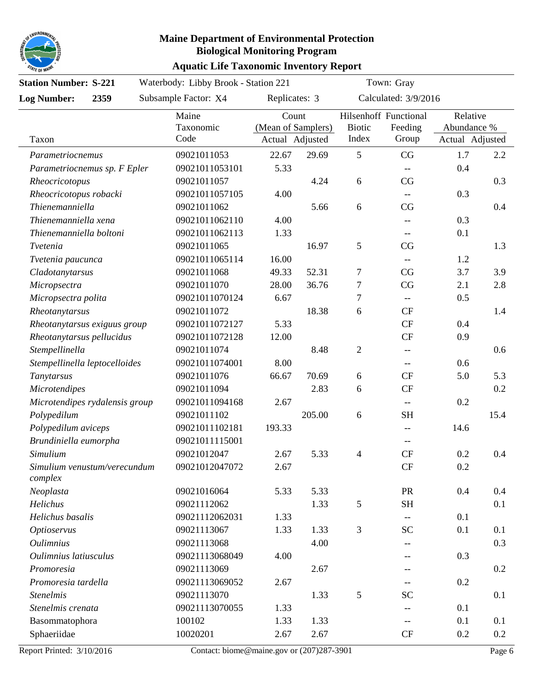

| <b>Station Number: S-221</b>  |                                | Waterbody: Libby Brook - Station 221 |                                                |        |                        | Town: Gray                                          |                                            |         |  |  |
|-------------------------------|--------------------------------|--------------------------------------|------------------------------------------------|--------|------------------------|-----------------------------------------------------|--------------------------------------------|---------|--|--|
| <b>Log Number:</b>            | 2359                           | Subsample Factor: X4                 | Replicates: 3                                  |        | Calculated: 3/9/2016   |                                                     |                                            |         |  |  |
| Taxon                         |                                | Maine<br>Taxonomic<br>Code           | Count<br>(Mean of Samplers)<br>Actual Adjusted |        | <b>Biotic</b><br>Index | Hilsenhoff Functional<br>Feeding<br>Group           | Relative<br>Abundance %<br>Actual Adjusted |         |  |  |
| Parametriocnemus              |                                | 09021011053                          | 22.67                                          | 29.69  | 5                      | CG                                                  | 1.7                                        | 2.2     |  |  |
|                               | Parametriocnemus sp. F Epler   | 09021011053101                       | 5.33                                           |        |                        | $-$                                                 | 0.4                                        |         |  |  |
| Rheocricotopus                |                                | 09021011057                          |                                                | 4.24   | 6                      | CG                                                  |                                            | 0.3     |  |  |
| Rheocricotopus robacki        |                                | 09021011057105                       | 4.00                                           |        |                        | $-$                                                 | 0.3                                        |         |  |  |
| Thienemanniella               |                                | 09021011062                          |                                                | 5.66   | 6                      | CG                                                  |                                            | 0.4     |  |  |
| Thienemanniella xena          |                                | 09021011062110                       | 4.00                                           |        |                        | $-$                                                 | 0.3                                        |         |  |  |
| Thienemanniella boltoni       |                                | 09021011062113                       | 1.33                                           |        |                        | --                                                  | 0.1                                        |         |  |  |
| Tvetenia                      |                                | 09021011065                          |                                                | 16.97  | $\mathfrak{S}$         | CG                                                  |                                            | 1.3     |  |  |
| Tvetenia paucunca             |                                | 09021011065114                       | 16.00                                          |        |                        |                                                     | 1.2                                        |         |  |  |
| Cladotanytarsus               |                                | 09021011068                          | 49.33                                          | 52.31  | 7                      | CG                                                  | 3.7                                        | 3.9     |  |  |
| Micropsectra                  |                                | 09021011070                          | 28.00                                          | 36.76  | $\tau$                 | CG                                                  | 2.1                                        | 2.8     |  |  |
| Micropsectra polita           |                                | 09021011070124                       | 6.67                                           |        | 7                      | $- -$                                               | 0.5                                        |         |  |  |
| Rheotanytarsus                |                                | 09021011072                          |                                                | 18.38  | 6                      | CF                                                  |                                            | 1.4     |  |  |
|                               | Rheotanytarsus exiguus group   | 09021011072127                       | 5.33                                           |        |                        | <b>CF</b>                                           | 0.4                                        |         |  |  |
| Rheotanytarsus pellucidus     |                                | 09021011072128                       | 12.00                                          |        |                        | <b>CF</b>                                           | 0.9                                        |         |  |  |
| Stempellinella                |                                | 09021011074                          |                                                | 8.48   | $\sqrt{2}$             | --                                                  |                                            | 0.6     |  |  |
| Stempellinella leptocelloides |                                | 09021011074001                       | 8.00                                           |        |                        | --                                                  | 0.6                                        |         |  |  |
| Tanytarsus                    |                                | 09021011076                          | 66.67                                          | 70.69  | 6                      | CF                                                  | 5.0                                        | 5.3     |  |  |
| <b>Microtendipes</b>          |                                | 09021011094                          |                                                | 2.83   | 6                      | CF                                                  |                                            | 0.2     |  |  |
|                               | Microtendipes rydalensis group | 09021011094168                       | 2.67                                           |        |                        | $\hspace{0.05cm} -\hspace{0.05cm} -\hspace{0.05cm}$ | 0.2                                        |         |  |  |
| Polypedilum                   |                                | 09021011102                          |                                                | 205.00 | 6                      | <b>SH</b>                                           |                                            | 15.4    |  |  |
| Polypedilum aviceps           |                                | 09021011102181                       | 193.33                                         |        |                        |                                                     | 14.6                                       |         |  |  |
| Brundiniella eumorpha         |                                | 09021011115001                       |                                                |        |                        | $-$                                                 |                                            |         |  |  |
| Simulium                      |                                | 09021012047                          | 2.67                                           | 5.33   | $\overline{4}$         | <b>CF</b>                                           | 0.2                                        | 0.4     |  |  |
| complex                       | Simulium venustum/verecundum   | 09021012047072                       | 2.67                                           |        |                        | CF                                                  | 0.2                                        |         |  |  |
| Neoplasta                     |                                | 09021016064                          | 5.33                                           | 5.33   |                        | PR                                                  | 0.4                                        | 0.4     |  |  |
| Helichus                      |                                | 09021112062                          |                                                | 1.33   | $\mathfrak{S}$         | <b>SH</b>                                           |                                            | 0.1     |  |  |
| Helichus basalis              |                                | 09021112062031                       | 1.33                                           |        |                        |                                                     | 0.1                                        |         |  |  |
| <b>Optioservus</b>            |                                | 09021113067                          | 1.33                                           | 1.33   | $\mathfrak{Z}$         | <b>SC</b>                                           | 0.1                                        | 0.1     |  |  |
| <i><b>Oulimnius</b></i>       |                                | 09021113068                          |                                                | 4.00   |                        | --                                                  |                                            | 0.3     |  |  |
| Oulimnius latiusculus         |                                | 09021113068049                       | 4.00                                           |        |                        |                                                     | 0.3                                        |         |  |  |
| Promoresia                    |                                | 09021113069                          |                                                | 2.67   |                        |                                                     |                                            | 0.2     |  |  |
| Promoresia tardella           |                                | 09021113069052                       | 2.67                                           |        |                        |                                                     | 0.2                                        |         |  |  |
| <b>Stenelmis</b>              |                                | 09021113070                          |                                                | 1.33   | $\mathfrak{S}$         | <b>SC</b>                                           |                                            | 0.1     |  |  |
| Stenelmis crenata             |                                | 09021113070055                       | 1.33                                           |        |                        |                                                     | 0.1                                        |         |  |  |
| Basommatophora                |                                | 100102                               | 1.33                                           | 1.33   |                        |                                                     | 0.1                                        | 0.1     |  |  |
| Sphaeriidae                   |                                | 10020201                             | 2.67                                           | 2.67   |                        | CF                                                  | 0.2                                        | $0.2\,$ |  |  |